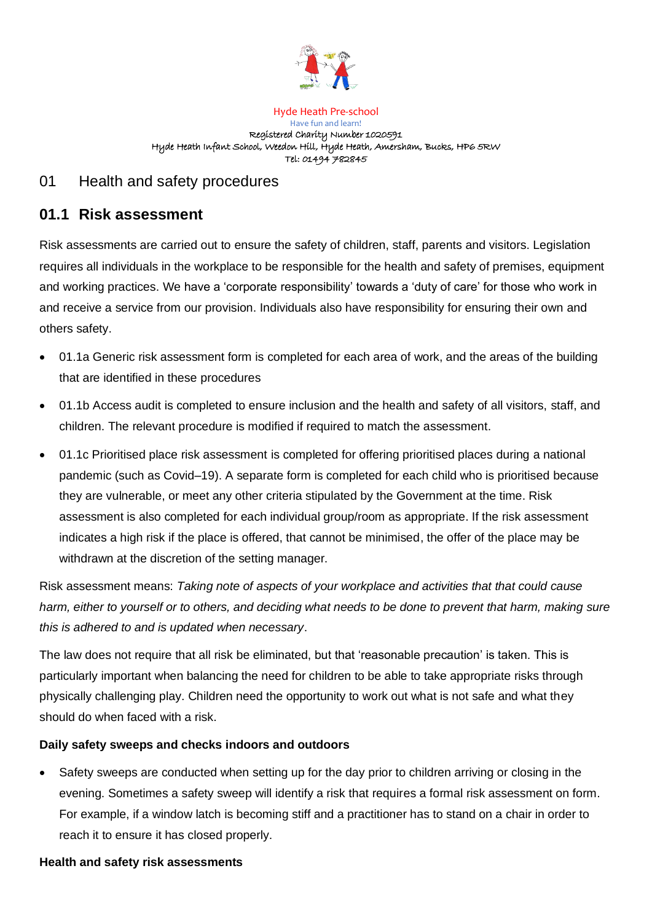

#### Hyde Heath Pre-school Have fun and learn! Registered Charity Number 1020591 Hyde Heath Infant School, Weedon Hill, Hyde Heath, Amersham, Bucks, HP6 5RW Tel: 01494 782845

## 01 Health and safety procedures

# **01.1 Risk assessment**

Risk assessments are carried out to ensure the safety of children, staff, parents and visitors. Legislation requires all individuals in the workplace to be responsible for the health and safety of premises, equipment and working practices. We have a 'corporate responsibility' towards a 'duty of care' for those who work in and receive a service from our provision. Individuals also have responsibility for ensuring their own and others safety.

- 01.1a Generic risk assessment form is completed for each area of work, and the areas of the building that are identified in these procedures
- 01.1b Access audit is completed to ensure inclusion and the health and safety of all visitors, staff, and children. The relevant procedure is modified if required to match the assessment.
- 01.1c Prioritised place risk assessment is completed for offering prioritised places during a national pandemic (such as Covid–19). A separate form is completed for each child who is prioritised because they are vulnerable, or meet any other criteria stipulated by the Government at the time. Risk assessment is also completed for each individual group/room as appropriate. If the risk assessment indicates a high risk if the place is offered, that cannot be minimised, the offer of the place may be withdrawn at the discretion of the setting manager.

Risk assessment means: *Taking note of aspects of your workplace and activities that that could cause harm, either to yourself or to others, and deciding what needs to be done to prevent that harm, making sure this is adhered to and is updated when necessary*.

The law does not require that all risk be eliminated, but that 'reasonable precaution' is taken. This is particularly important when balancing the need for children to be able to take appropriate risks through physically challenging play. Children need the opportunity to work out what is not safe and what they should do when faced with a risk.

### **Daily safety sweeps and checks indoors and outdoors**

Safety sweeps are conducted when setting up for the day prior to children arriving or closing in the evening. Sometimes a safety sweep will identify a risk that requires a formal risk assessment on form. For example, if a window latch is becoming stiff and a practitioner has to stand on a chair in order to reach it to ensure it has closed properly.

#### **Health and safety risk assessments**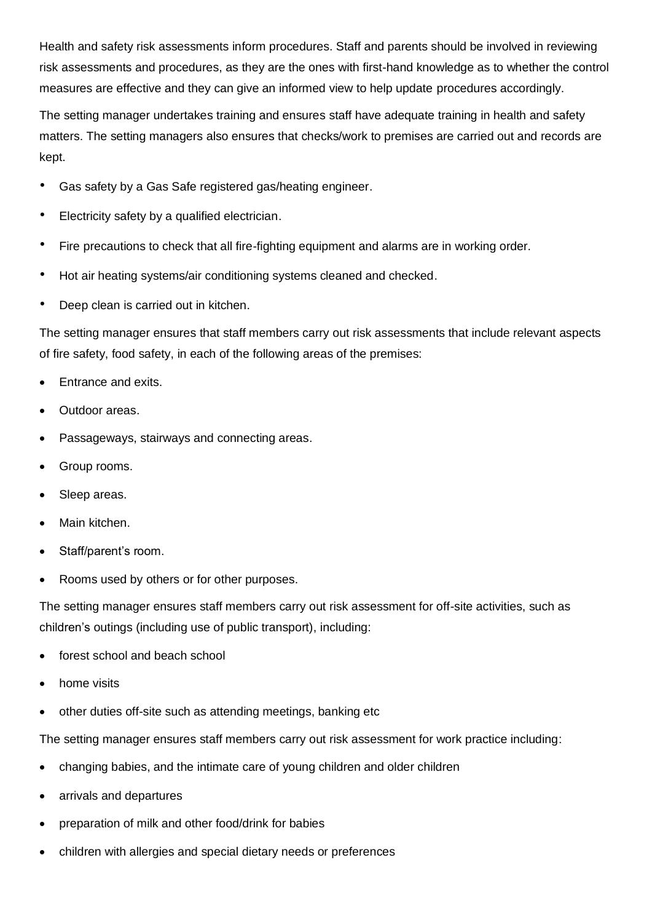Health and safety risk assessments inform procedures. Staff and parents should be involved in reviewing risk assessments and procedures, as they are the ones with first-hand knowledge as to whether the control measures are effective and they can give an informed view to help update procedures accordingly.

The setting manager undertakes training and ensures staff have adequate training in health and safety matters. The setting managers also ensures that checks/work to premises are carried out and records are kept.

- Gas safety by a Gas Safe registered gas/heating engineer.
- Electricity safety by a qualified electrician.
- Fire precautions to check that all fire-fighting equipment and alarms are in working order.
- Hot air heating systems/air conditioning systems cleaned and checked.
- Deep clean is carried out in kitchen.

The setting manager ensures that staff members carry out risk assessments that include relevant aspects of fire safety, food safety, in each of the following areas of the premises:

- Entrance and exits.
- Outdoor areas.
- Passageways, stairways and connecting areas.
- Group rooms.
- Sleep areas.
- Main kitchen.
- Staff/parent's room.
- Rooms used by others or for other purposes.

The setting manager ensures staff members carry out risk assessment for off-site activities, such as children's outings (including use of public transport), including:

- forest school and beach school.
- home visits
- other duties off-site such as attending meetings, banking etc

The setting manager ensures staff members carry out risk assessment for work practice including:

- changing babies, and the intimate care of young children and older children
- arrivals and departures
- preparation of milk and other food/drink for babies
- children with allergies and special dietary needs or preferences